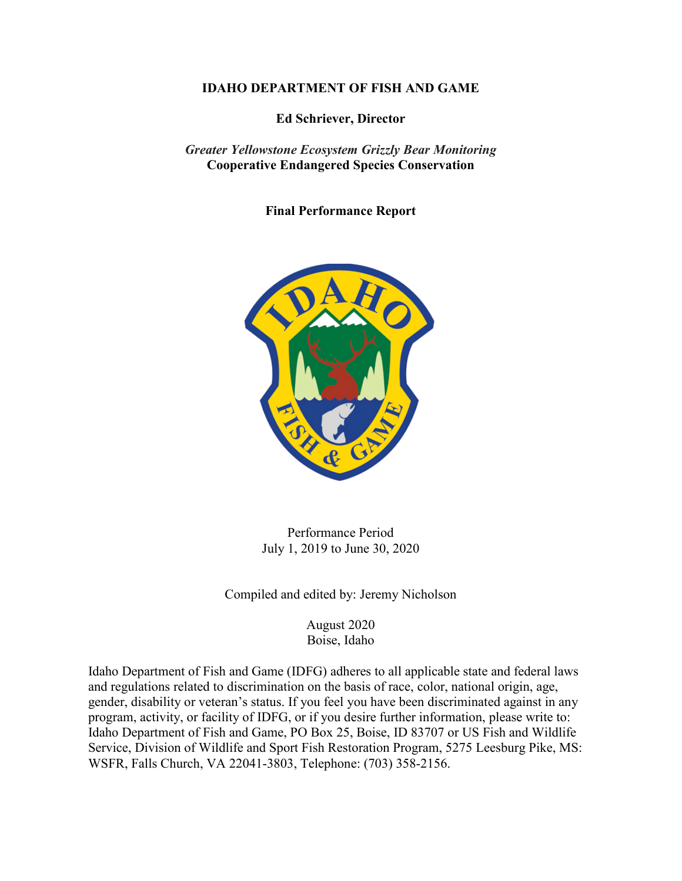#### **IDAHO DEPARTMENT OF FISH AND GAME**

**Ed Schriever, Director**

*Greater Yellowstone Ecosystem Grizzly Bear Monitoring*  **Cooperative Endangered Species Conservation**

**Final Performance Report**



Performance Period July 1, 2019 to June 30, 2020

Compiled and edited by: Jeremy Nicholson

August 2020 Boise, Idaho

Idaho Department of Fish and Game (IDFG) adheres to all applicable state and federal laws and regulations related to discrimination on the basis of race, color, national origin, age, gender, disability or veteran's status. If you feel you have been discriminated against in any program, activity, or facility of IDFG, or if you desire further information, please write to: Idaho Department of Fish and Game, PO Box 25, Boise, ID 83707 or US Fish and Wildlife Service, Division of Wildlife and Sport Fish Restoration Program, 5275 Leesburg Pike, MS: WSFR, Falls Church, VA 22041-3803, Telephone: (703) 358-2156.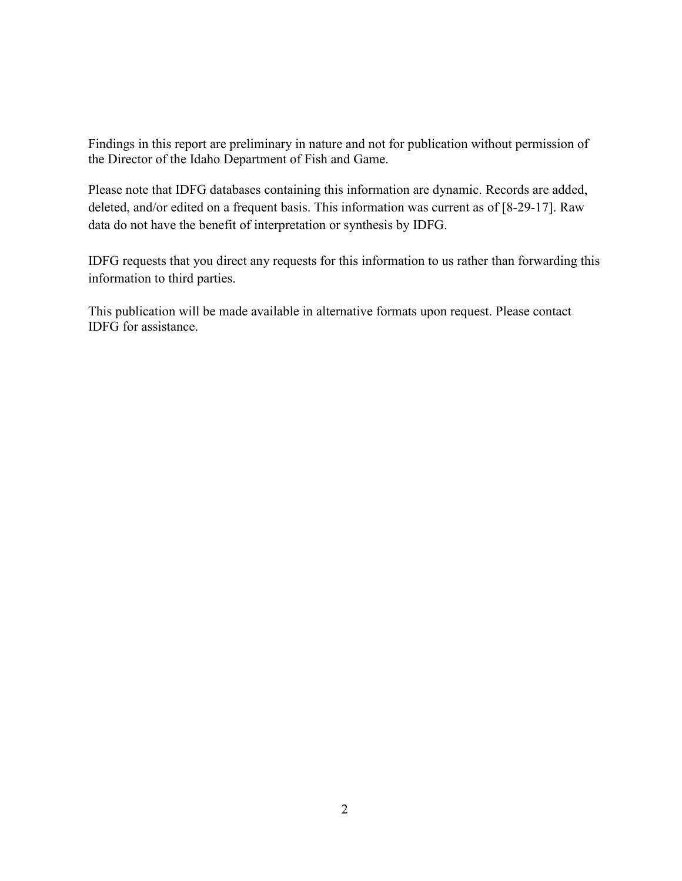Findings in this report are preliminary in nature and not for publication without permission of the Director of the Idaho Department of Fish and Game.

Please note that IDFG databases containing this information are dynamic. Records are added, deleted, and/or edited on a frequent basis. This information was current as of [8-29-17]. Raw data do not have the benefit of interpretation or synthesis by IDFG.

IDFG requests that you direct any requests for this information to us rather than forwarding this information to third parties.

This publication will be made available in alternative formats upon request. Please contact IDFG for assistance.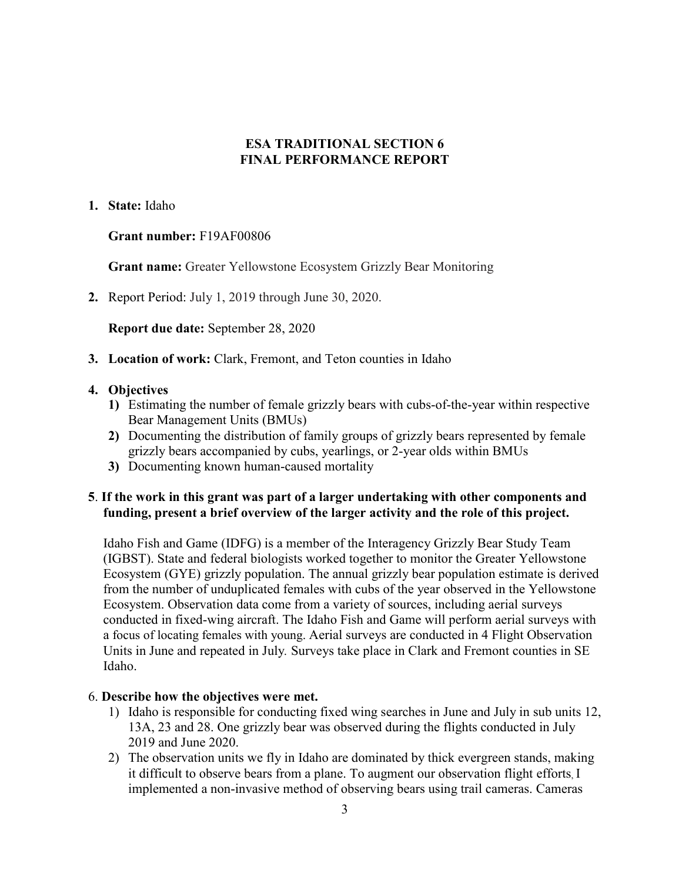## **ESA TRADITIONAL SECTION 6 FINAL PERFORMANCE REPORT**

#### **1. State:** Idaho

## **Grant number:** F19AF00806

**Grant name:** Greater Yellowstone Ecosystem Grizzly Bear Monitoring

**2.** Report Period: July 1, 2019 through June 30, 2020.

**Report due date:** September 28, 2020

**3. Location of work:** Clark, Fremont, and Teton counties in Idaho

# **4. Objectives**

- **1)** Estimating the number of female grizzly bears with cubs-of-the-year within respective Bear Management Units (BMUs)
- **2)** Documenting the distribution of family groups of grizzly bears represented by female grizzly bears accompanied by cubs, yearlings, or 2-year olds within BMUs
- **3)** Documenting known human-caused mortality

# **5**. **If the work in this grant was part of a larger undertaking with other components and funding, present a brief overview of the larger activity and the role of this project.**

Idaho Fish and Game (IDFG) is a member of the Interagency Grizzly Bear Study Team (IGBST). State and federal biologists worked together to monitor the Greater Yellowstone Ecosystem (GYE) grizzly population. The annual grizzly bear population estimate is derived from the number of unduplicated females with cubs of the year observed in the Yellowstone Ecosystem. Observation data come from a variety of sources, including aerial surveys conducted in fixed-wing aircraft. The Idaho Fish and Game will perform aerial surveys with a focus of locating females with young. Aerial surveys are conducted in 4 Flight Observation Units in June and repeated in July*.* Surveys take place in Clark and Fremont counties in SE Idaho.

## 6. **Describe how the objectives were met.**

- 1) Idaho is responsible for conducting fixed wing searches in June and July in sub units 12, 13A, 23 and 28. One grizzly bear was observed during the flights conducted in July 2019 and June 2020.
- 2) The observation units we fly in Idaho are dominated by thick evergreen stands, making it difficult to observe bears from a plane. To augment our observation flight efforts, I implemented a non-invasive method of observing bears using trail cameras. Cameras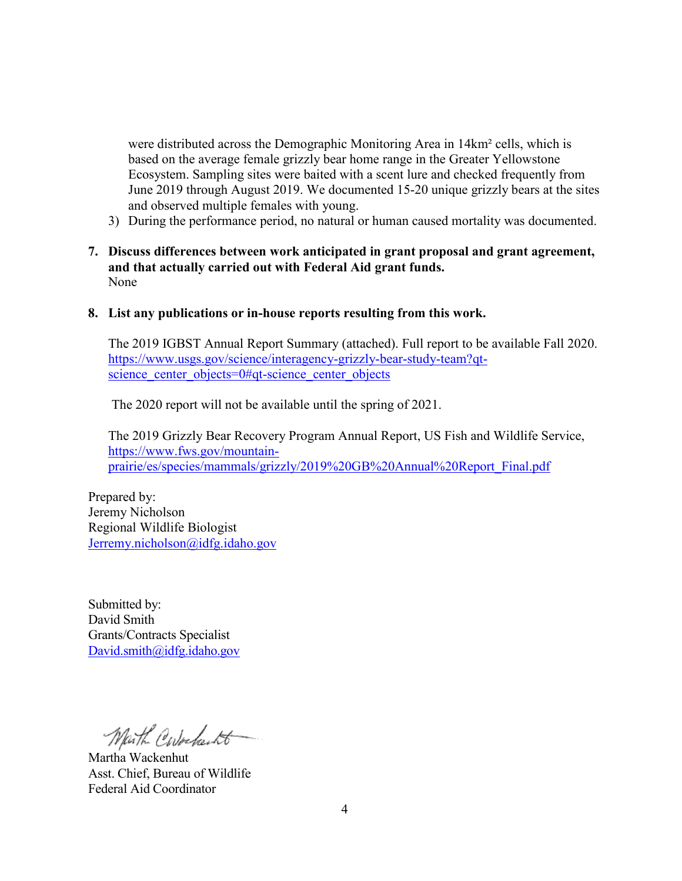were distributed across the Demographic Monitoring Area in 14km² cells, which is based on the average female grizzly bear home range in the Greater Yellowstone Ecosystem. Sampling sites were baited with a scent lure and checked frequently from June 2019 through August 2019. We documented 15-20 unique grizzly bears at the sites and observed multiple females with young.

- 3) During the performance period, no natural or human caused mortality was documented.
- **7. Discuss differences between work anticipated in grant proposal and grant agreement, and that actually carried out with Federal Aid grant funds.** None
- **8. List any publications or in-house reports resulting from this work.**

The 2019 IGBST Annual Report Summary (attached). Full report to be available Fall 2020. [https://www.usgs.gov/science/interagency-grizzly-bear-study-team?qt](https://www.usgs.gov/science/interagency-grizzly-bear-study-team?qt-science_center_objects=0#qt-science_center_objects)science center objects=0#qt-science center objects

The 2020 report will not be available until the spring of 2021.

The 2019 Grizzly Bear Recovery Program Annual Report, US Fish and Wildlife Service, [https://www.fws.gov/mountain](https://www.fws.gov/mountain-prairie/es/species/mammals/grizzly/2019%20GB%20Annual%20Report_Final.pdf)[prairie/es/species/mammals/grizzly/2019%20GB%20Annual%20Report\\_Final.pdf](https://www.fws.gov/mountain-prairie/es/species/mammals/grizzly/2019%20GB%20Annual%20Report_Final.pdf)

Prepared by: Jeremy Nicholson Regional Wildlife Biologist [Jerremy.nicholson@idfg.idaho.gov](mailto:Jerremy.nicholson@idfg.idaho.gov)

Submitted by: David Smith Grants/Contracts Specialist [David.smith@idfg.idaho.gov](mailto:David.smith@idfg.idaho.gov)

Marth Corbecto

Martha Wackenhut Asst. Chief, Bureau of Wildlife Federal Aid Coordinator